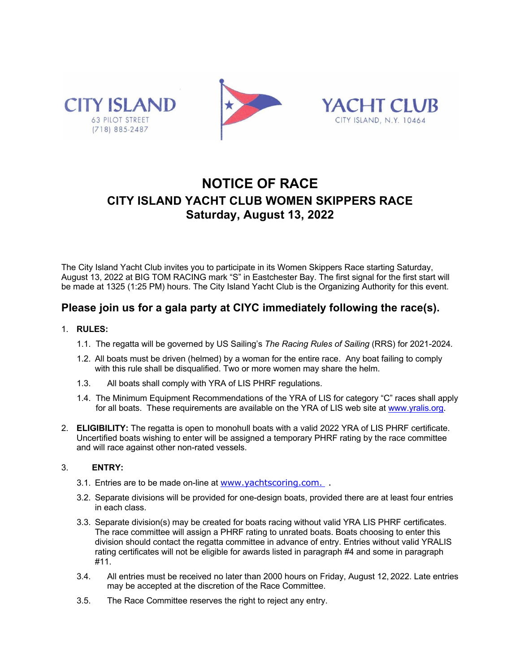





# **NOTICE OF RACE CITY ISLAND YACHT CLUB WOMEN SKIPPERS RACE Saturday, August 13, 2022**

The City Island Yacht Club invites you to participate in its Women Skippers Race starting Saturday, August 13, 2022 at BIG TOM RACING mark "S" in Eastchester Bay. The first signal for the first start will be made at 1325 (1:25 PM) hours. The City Island Yacht Club is the Organizing Authority for this event.

## **Please join us for a gala party at CIYC immediately following the race(s).**

### 1. **RULES:**

- 1.1. The regatta will be governed by US Sailing's *The Racing Rules of Sailing* (RRS) for 2021-2024*.*
- 1.2. All boats must be driven (helmed) by a woman for the entire race. Any boat failing to comply with this rule shall be disqualified. Two or more women may share the helm.
- 1.3. All boats shall comply with YRA of LIS PHRF regulations.
- 1.4. The Minimum Equipment Recommendations of the YRA of LIS for category "C" races shall apply for all boats. These requirements are available on the YRA of LIS web site at www.yralis.org.
- 2. **ELIGIBILITY:** The regatta is open to monohull boats with a valid 2022 YRA of LIS PHRF certificate. Uncertified boats wishing to enter will be assigned a temporary PHRF rating by the race committee and will race against other non-rated vessels.

### 3. **ENTRY:**

- 3.1. Entries are to be made on-line at www.yachtscoring.com.
- 3.2. Separate divisions will be provided for one-design boats, provided there are at least four entries in each class.
- 3.3. Separate division(s) may be created for boats racing without valid YRA LIS PHRF certificates. The race committee will assign a PHRF rating to unrated boats. Boats choosing to enter this division should contact the regatta committee in advance of entry. Entries without valid YRALIS rating certificates will not be eligible for awards listed in paragraph #4 and some in paragraph #11.
- 3.4. All entries must be received no later than 2000 hours on Friday, August 12, 2022. Late entries may be accepted at the discretion of the Race Committee.
- 3.5. The Race Committee reserves the right to reject any entry.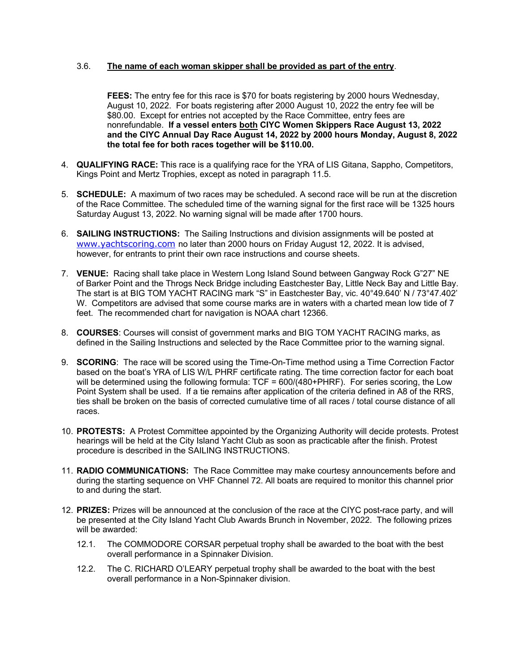#### 3.6. **The name of each woman skipper shall be provided as part of the entry**.

**FEES:** The entry fee for this race is \$70 for boats registering by 2000 hours Wednesday, August 10, 2022. For boats registering after 2000 August 10, 2022 the entry fee will be \$80.00. Except for entries not accepted by the Race Committee, entry fees are nonrefundable. **If a vessel enters both CIYC Women Skippers Race August 13, 2022 and the CIYC Annual Day Race August 14, 2022 by 2000 hours Monday, August 8, 2022 the total fee for both races together will be \$110.00.**

- 4. **QUALIFYING RACE:** This race is a qualifying race for the YRA of LIS Gitana, Sappho, Competitors, Kings Point and Mertz Trophies, except as noted in paragraph 11.5.
- 5. **SCHEDULE:** A maximum of two races may be scheduled. A second race will be run at the discretion of the Race Committee. The scheduled time of the warning signal for the first race will be 1325 hours Saturday August 13, 2022. No warning signal will be made after 1700 hours.
- 6. **SAILING INSTRUCTIONS:** The Sailing Instructions and division assignments will be posted at www.yachtscoring.com no later than 2000 hours on Friday August 12, 2022. It is advised, however, for entrants to print their own race instructions and course sheets.
- 7. **VENUE:** Racing shall take place in Western Long Island Sound between Gangway Rock G"27" NE of Barker Point and the Throgs Neck Bridge including Eastchester Bay, Little Neck Bay and Little Bay. The start is at BIG TOM YACHT RACING mark "S" in Eastchester Bay, vic. 40°49.640' N / 73°47.402' W. Competitors are advised that some course marks are in waters with a charted mean low tide of 7 feet. The recommended chart for navigation is NOAA chart 12366.
- 8. **COURSES**: Courses will consist of government marks and BIG TOM YACHT RACING marks, as defined in the Sailing Instructions and selected by the Race Committee prior to the warning signal.
- 9. **SCORING**: The race will be scored using the Time-On-Time method using a Time Correction Factor based on the boat's YRA of LIS W/L PHRF certificate rating. The time correction factor for each boat will be determined using the following formula: TCF = 600/(480+PHRF). For series scoring, the Low Point System shall be used. If a tie remains after application of the criteria defined in A8 of the RRS, ties shall be broken on the basis of corrected cumulative time of all races / total course distance of all races.
- 10. **PROTESTS:** A Protest Committee appointed by the Organizing Authority will decide protests. Protest hearings will be held at the City Island Yacht Club as soon as practicable after the finish. Protest procedure is described in the SAILING INSTRUCTIONS.
- 11. **RADIO COMMUNICATIONS:** The Race Committee may make courtesy announcements before and during the starting sequence on VHF Channel 72. All boats are required to monitor this channel prior to and during the start.
- 12. **PRIZES:** Prizes will be announced at the conclusion of the race at the CIYC post-race party, and will be presented at the City Island Yacht Club Awards Brunch in November, 2022. The following prizes will be awarded:
	- 12.1. The COMMODORE CORSAR perpetual trophy shall be awarded to the boat with the best overall performance in a Spinnaker Division.
	- 12.2. The C. RICHARD O'LEARY perpetual trophy shall be awarded to the boat with the best overall performance in a Non-Spinnaker division.